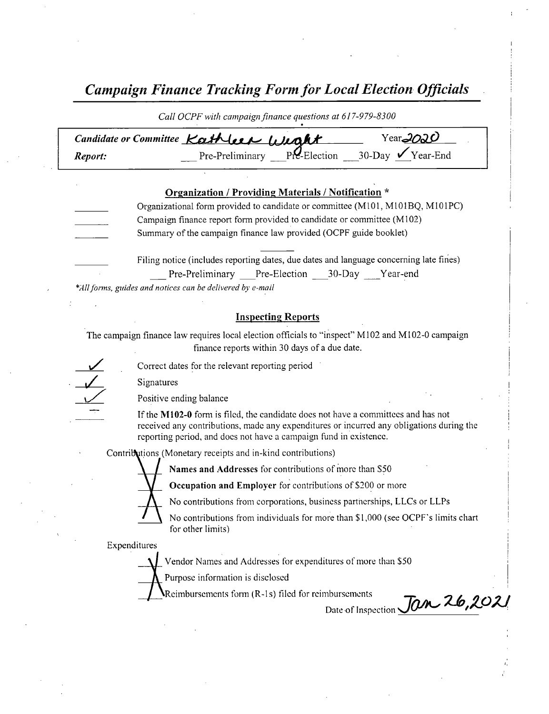Campaign Finance Tracking Form for Local Election Officials .

|         | Candidate or Committee Kathleen Weakt<br>Year <sub>2020</sub>                                                                                                                                                                                      |
|---------|----------------------------------------------------------------------------------------------------------------------------------------------------------------------------------------------------------------------------------------------------|
| Report: | Pre-Preliminary $Pr$ -Election 30-Day $\sqrt{Year-End}$                                                                                                                                                                                            |
|         |                                                                                                                                                                                                                                                    |
|         | <b>Organization / Providing Materials / Notification *</b>                                                                                                                                                                                         |
|         | Organizational form provided to candidate or committee (M101, M101BQ, M101PC)                                                                                                                                                                      |
|         | Campaign finance report form provided to candidate or committee (M102)                                                                                                                                                                             |
|         | Summary of the campaign finance law provided (OCPF guide booklet)                                                                                                                                                                                  |
|         | Filing notice (includes reporting dates, due dates and language concerning late fines)                                                                                                                                                             |
|         | Pre-Preliminary Pre-Election ___30-Day ___Year-end                                                                                                                                                                                                 |
|         | *All forms, guides and notices can be delivered by e-mail                                                                                                                                                                                          |
|         |                                                                                                                                                                                                                                                    |
|         |                                                                                                                                                                                                                                                    |
|         | <b>Inspecting Reports</b>                                                                                                                                                                                                                          |
|         | The campaign finance law requires local election officials to "inspect" M102 and M102-0 campaign<br>finance reports within 30 days of a due date.                                                                                                  |
|         | Correct dates for the relevant reporting period                                                                                                                                                                                                    |
|         | Signatures                                                                                                                                                                                                                                         |
|         | Positive ending balance                                                                                                                                                                                                                            |
|         | If the M102-0 form is filed, the candidate does not have a committees and has not<br>received any contributions, made any expenditures or incurred any obligations during the<br>reporting period, and does not have a campaign fund in existence. |
|         | Contributions (Monetary receipts and in-kind contributions)                                                                                                                                                                                        |
|         | Names and Addresses for contributions of more than \$50                                                                                                                                                                                            |



No contributions from corporations, business partnerships, LLCs or LLPs

No contributions from individuals for more than \$1,000 (see OCPF's limits chart for other limits)

Expenditures

Vendor Names and Addresses for expenditures of more than\$ 50

Purpose information is disclosed

Reimbursements form (R-1s) filed for reimbursements

nbursements<br>Date of Inspection Jan 26,2021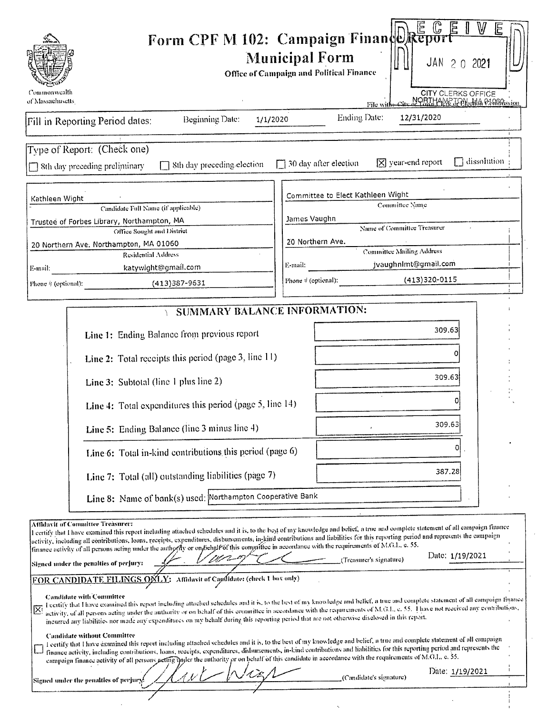| NORTHAME JANGMA QIARAISSION<br>of Massachusetts<br>File wit<br><b>Ending Date:</b><br>12/31/2020<br><b>Beginning Date:</b><br>1/1/2020<br>$\exists$ dissolution<br>$ \overline{\mathsf{x}} $ year-end report<br>30 day after election<br>8th day preceding election<br>□ 8th day preceding preliminary<br>Committee to Elect Kathleen Wight<br>Kathleen Wight<br>Committee Name<br>Candidate Full Name (if applicable)<br>James Vaughn<br>Trustee of Forbes Library, Northampton, MA<br>Name of Committee Treasurer<br>Office Sought and District<br>20 Northern Ave.<br>20 Northern Ave. Northampton, MA 01060<br><b>Committee Mailing Address</b><br><b>Residential Address</b><br>jvaughnimt@gmail.com<br>E-mail:<br>katywight@gmail.com<br>E-mail:<br>$(413)320-0115$<br>Phone $\psi$ (optional):<br>$(413)387 - 9631$<br>SUMMARY BALANCE INFORMATION:<br>309.63<br>Line 1: Ending Balance from previous report<br>Line 2: Total receipts this period (page 3, line 11)<br>309.63<br>Line 3: Subtotal (line 1 plus line 2)<br>Line 4: Total expenditures this period (page $5$ , line 14)<br>309.63<br>Line 5: Ending Balance (line 3 minus line 4)<br>o<br>Line 6: Total in-kind contributions this period (page 6)<br>387.28<br>Line 7: Total (all) outstanding liabilities (page 7)<br>Line 8: Name of bank(s) used: Northampton Cooperative Bank<br>Affidayit of Committee Treasurer:<br>I certify that I have examined this report including attached schedules and it is, to the best of my knowledge and belief, a true and complete statement of all campaign finance<br>activity, including all contributions, loans, receipts, expenditures, disbursements, in-kind contributions and liabilities for this reporting period and represents the campaign<br>finance activity of all persons acting under the authority or on fiengle of this committee in accordance with the requirements of M.G.L. e. 55.<br>Date: 1/19/2021<br>(Treasurer's signature)<br>Signed under the penalties of perjury:<br>FOR CANDIDATE FILINGS ONLY: Affidavit of Capilidate: (check 1 box only)<br><b>Candidate with Committee</b><br>I certify that I have examined this report including attached schedules and it is, to the best of my knowledge and belief, a true and complete statement of all campaign finance<br>activity, of all persons acting under the authority or on behalf of this committee in accordance with the requirements of M.G.L. e. 55. Thave not received any contributions,<br>incurred any liabilities nor made any expenditures on my hehalf during this reporting period that are not otherwise disclosed in this report.<br><b>Candidate without Committee</b><br>I certify that I have examined this report including attached schedules and it is, to the best of my knowledge and belief, a true and complete statement of all campaign<br>finance activity, including contributions, loans, receipts, expenditures, dishursements, in-kind contributions and liabilities for this reporting period and represents the<br>campaign finance activity of all persons netting under the authority or on behalf of this candidate in accordance with the requirements of M.G.L. c. 55.<br>Date: 1/19/2021 |                                        | Form CPF M 102: Campaign Finance Report<br><b>Municipal Form</b><br>JAN 2 0 2021<br>Office of Campaign and Political Finance |
|--------------------------------------------------------------------------------------------------------------------------------------------------------------------------------------------------------------------------------------------------------------------------------------------------------------------------------------------------------------------------------------------------------------------------------------------------------------------------------------------------------------------------------------------------------------------------------------------------------------------------------------------------------------------------------------------------------------------------------------------------------------------------------------------------------------------------------------------------------------------------------------------------------------------------------------------------------------------------------------------------------------------------------------------------------------------------------------------------------------------------------------------------------------------------------------------------------------------------------------------------------------------------------------------------------------------------------------------------------------------------------------------------------------------------------------------------------------------------------------------------------------------------------------------------------------------------------------------------------------------------------------------------------------------------------------------------------------------------------------------------------------------------------------------------------------------------------------------------------------------------------------------------------------------------------------------------------------------------------------------------------------------------------------------------------------------------------------------------------------------------------------------------------------------------------------------------------------------------------------------------------------------------------------------------------------------------------------------------------------------------------------------------------------------------------------------------------------------------------------------------------------------------------------------------------------------------------------------------------------------------------------------------------------------------------------------------------------------------------------------------------------------------------------------------------------------------------------------------------------------------------------------------------------------------------------------------------------------------------------------------------------------------------------------------------------------------------------------------------------------------------------------------------------------------------------------------------------------------------------|----------------------------------------|------------------------------------------------------------------------------------------------------------------------------|
| Fill in Reporting Period dates:<br>Type of Report: (Check one)<br>Phone # (optional):                                                                                                                                                                                                                                                                                                                                                                                                                                                                                                                                                                                                                                                                                                                                                                                                                                                                                                                                                                                                                                                                                                                                                                                                                                                                                                                                                                                                                                                                                                                                                                                                                                                                                                                                                                                                                                                                                                                                                                                                                                                                                                                                                                                                                                                                                                                                                                                                                                                                                                                                                                                                                                                                                                                                                                                                                                                                                                                                                                                                                                                                                                                                                | Commonwealth                           | <b>CITY CLERKS OFFICE</b>                                                                                                    |
|                                                                                                                                                                                                                                                                                                                                                                                                                                                                                                                                                                                                                                                                                                                                                                                                                                                                                                                                                                                                                                                                                                                                                                                                                                                                                                                                                                                                                                                                                                                                                                                                                                                                                                                                                                                                                                                                                                                                                                                                                                                                                                                                                                                                                                                                                                                                                                                                                                                                                                                                                                                                                                                                                                                                                                                                                                                                                                                                                                                                                                                                                                                                                                                                                                      |                                        |                                                                                                                              |
|                                                                                                                                                                                                                                                                                                                                                                                                                                                                                                                                                                                                                                                                                                                                                                                                                                                                                                                                                                                                                                                                                                                                                                                                                                                                                                                                                                                                                                                                                                                                                                                                                                                                                                                                                                                                                                                                                                                                                                                                                                                                                                                                                                                                                                                                                                                                                                                                                                                                                                                                                                                                                                                                                                                                                                                                                                                                                                                                                                                                                                                                                                                                                                                                                                      |                                        |                                                                                                                              |
|                                                                                                                                                                                                                                                                                                                                                                                                                                                                                                                                                                                                                                                                                                                                                                                                                                                                                                                                                                                                                                                                                                                                                                                                                                                                                                                                                                                                                                                                                                                                                                                                                                                                                                                                                                                                                                                                                                                                                                                                                                                                                                                                                                                                                                                                                                                                                                                                                                                                                                                                                                                                                                                                                                                                                                                                                                                                                                                                                                                                                                                                                                                                                                                                                                      |                                        |                                                                                                                              |
|                                                                                                                                                                                                                                                                                                                                                                                                                                                                                                                                                                                                                                                                                                                                                                                                                                                                                                                                                                                                                                                                                                                                                                                                                                                                                                                                                                                                                                                                                                                                                                                                                                                                                                                                                                                                                                                                                                                                                                                                                                                                                                                                                                                                                                                                                                                                                                                                                                                                                                                                                                                                                                                                                                                                                                                                                                                                                                                                                                                                                                                                                                                                                                                                                                      |                                        |                                                                                                                              |
|                                                                                                                                                                                                                                                                                                                                                                                                                                                                                                                                                                                                                                                                                                                                                                                                                                                                                                                                                                                                                                                                                                                                                                                                                                                                                                                                                                                                                                                                                                                                                                                                                                                                                                                                                                                                                                                                                                                                                                                                                                                                                                                                                                                                                                                                                                                                                                                                                                                                                                                                                                                                                                                                                                                                                                                                                                                                                                                                                                                                                                                                                                                                                                                                                                      |                                        |                                                                                                                              |
|                                                                                                                                                                                                                                                                                                                                                                                                                                                                                                                                                                                                                                                                                                                                                                                                                                                                                                                                                                                                                                                                                                                                                                                                                                                                                                                                                                                                                                                                                                                                                                                                                                                                                                                                                                                                                                                                                                                                                                                                                                                                                                                                                                                                                                                                                                                                                                                                                                                                                                                                                                                                                                                                                                                                                                                                                                                                                                                                                                                                                                                                                                                                                                                                                                      |                                        |                                                                                                                              |
|                                                                                                                                                                                                                                                                                                                                                                                                                                                                                                                                                                                                                                                                                                                                                                                                                                                                                                                                                                                                                                                                                                                                                                                                                                                                                                                                                                                                                                                                                                                                                                                                                                                                                                                                                                                                                                                                                                                                                                                                                                                                                                                                                                                                                                                                                                                                                                                                                                                                                                                                                                                                                                                                                                                                                                                                                                                                                                                                                                                                                                                                                                                                                                                                                                      | Signed under the penalties of perjury. | (Candidate's signature)                                                                                                      |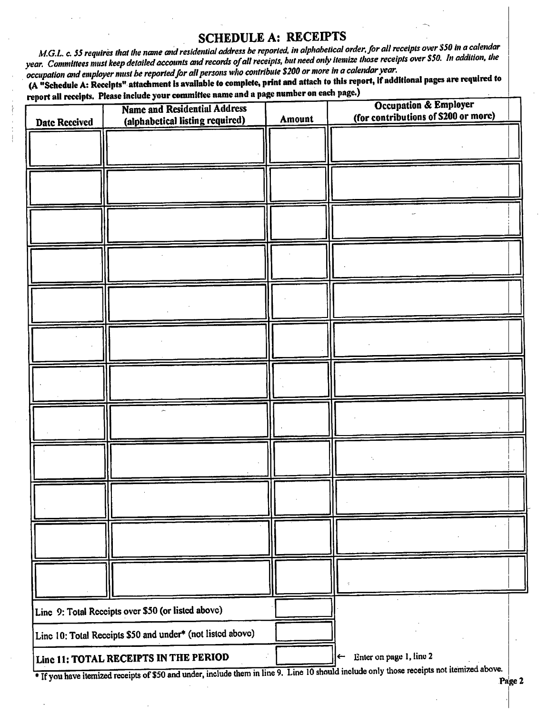#### SCHEDULE A: RECEIPTS

M.G.L. c. 55 requires that the name and residential address be reported, in alphabetical order, for all receipts over \$50 in a calendar year. Committees must keep detailed accounts and records of all receipts, but need only itemize those receipts over \$50. In addition, the occupation and employer must be reported for all persons who contribute \$200 or more in a calendar year.

A" Schedule A: Receipts" attachment is available to complete, print and attach to this report, if additional pages are required to rt all receipts. Please include your committee name and a page number on each page.)

| chatt <del>un tezeilier y izw</del><br><b>Date Received</b> | <b>Name and Residential Address</b><br>(alphabetical listing required) | Amount | <b>Occupation &amp; Employer</b><br>(for contributions of \$200 or more)              |
|-------------------------------------------------------------|------------------------------------------------------------------------|--------|---------------------------------------------------------------------------------------|
|                                                             |                                                                        |        |                                                                                       |
|                                                             |                                                                        |        |                                                                                       |
|                                                             |                                                                        |        |                                                                                       |
|                                                             |                                                                        |        |                                                                                       |
|                                                             |                                                                        |        |                                                                                       |
|                                                             |                                                                        |        |                                                                                       |
|                                                             |                                                                        |        |                                                                                       |
|                                                             |                                                                        |        |                                                                                       |
|                                                             |                                                                        |        |                                                                                       |
|                                                             |                                                                        |        |                                                                                       |
|                                                             |                                                                        |        |                                                                                       |
|                                                             |                                                                        |        |                                                                                       |
|                                                             |                                                                        |        |                                                                                       |
|                                                             |                                                                        |        |                                                                                       |
|                                                             |                                                                        |        |                                                                                       |
|                                                             |                                                                        |        |                                                                                       |
|                                                             |                                                                        |        |                                                                                       |
|                                                             |                                                                        |        |                                                                                       |
|                                                             |                                                                        |        |                                                                                       |
|                                                             |                                                                        |        |                                                                                       |
|                                                             |                                                                        |        |                                                                                       |
|                                                             |                                                                        |        |                                                                                       |
|                                                             |                                                                        |        |                                                                                       |
|                                                             | Line 9: Total Receipts over \$50 (or listed above)                     |        |                                                                                       |
|                                                             | Line 10: Total Receipts \$50 and under* (not listed above)             |        |                                                                                       |
|                                                             | Line 11: TOTAL RECEIPTS IN THE PERIOD                                  |        | Enter on page 1, line 2<br>$\leftarrow$<br>de only those receipts not itemized above. |

<sup>\*</sup> If you have itemized receipts of \$50 and under, include them in line 9. Line 10 should include only those receipts not itemized above.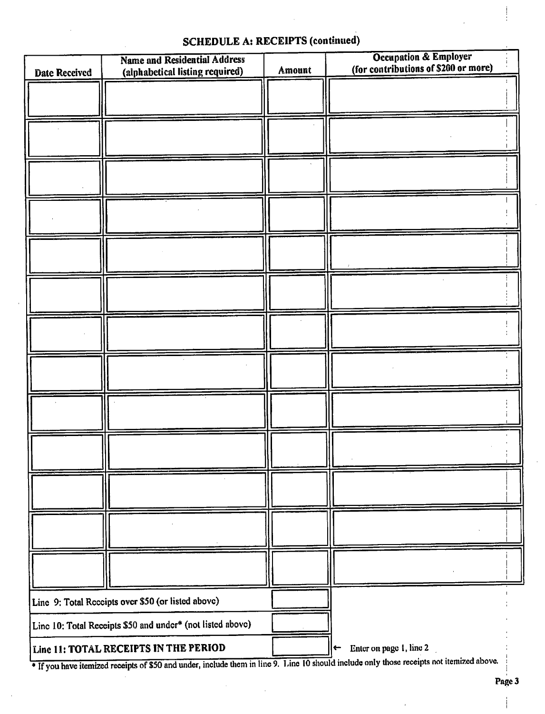### SCHEDULE A: RECEIPTS (continued)

| <b>Date Received</b> | <b>Name and Residential Address</b><br>(alphabetical listing required) | Amount | <b>Occupation &amp; Employer</b><br>(for contributions of \$200 or more)                                                                  |
|----------------------|------------------------------------------------------------------------|--------|-------------------------------------------------------------------------------------------------------------------------------------------|
|                      |                                                                        |        |                                                                                                                                           |
|                      |                                                                        |        |                                                                                                                                           |
|                      |                                                                        |        |                                                                                                                                           |
|                      |                                                                        |        |                                                                                                                                           |
|                      |                                                                        |        |                                                                                                                                           |
|                      |                                                                        |        |                                                                                                                                           |
|                      |                                                                        |        |                                                                                                                                           |
|                      |                                                                        |        |                                                                                                                                           |
|                      |                                                                        |        |                                                                                                                                           |
|                      |                                                                        |        |                                                                                                                                           |
|                      |                                                                        |        |                                                                                                                                           |
|                      |                                                                        |        |                                                                                                                                           |
|                      |                                                                        |        |                                                                                                                                           |
|                      |                                                                        |        |                                                                                                                                           |
|                      |                                                                        |        |                                                                                                                                           |
|                      |                                                                        |        |                                                                                                                                           |
|                      |                                                                        |        |                                                                                                                                           |
|                      |                                                                        |        |                                                                                                                                           |
|                      |                                                                        |        |                                                                                                                                           |
|                      |                                                                        |        |                                                                                                                                           |
|                      |                                                                        |        |                                                                                                                                           |
|                      |                                                                        |        |                                                                                                                                           |
|                      |                                                                        |        |                                                                                                                                           |
|                      |                                                                        |        |                                                                                                                                           |
|                      |                                                                        |        |                                                                                                                                           |
|                      | Line 9: Total Receipts over \$50 (or listed above)                     |        |                                                                                                                                           |
|                      | Line 10: Total Receipts \$50 and under* (not listed above)             |        |                                                                                                                                           |
|                      | Line 11: TOTAL RECEIPTS IN THE PERIOD                                  |        | Enter on page 1, line 2<br>$\left  \leftarrow \right $                                                                                    |
|                      |                                                                        |        | * If you have itemized receipts of \$50 and under, include them in line 9. Line 10 should include only those receipts not itemized above. |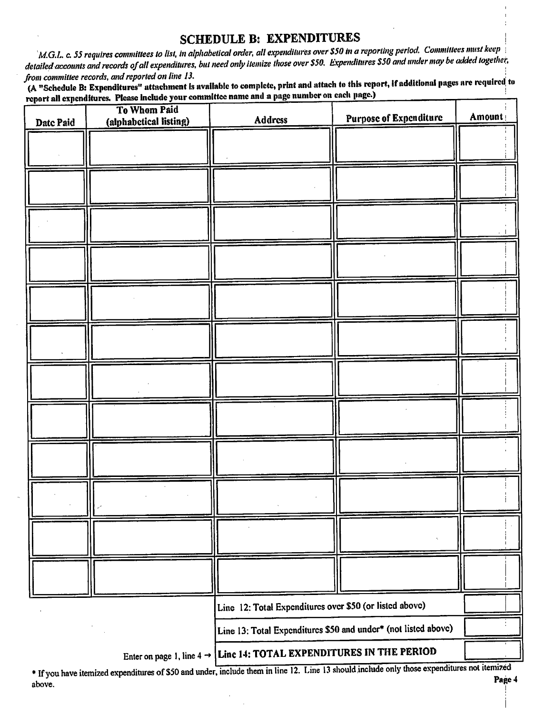#### SCHEDULE B: EXPENDITURES

 $\Delta$ M.G.L. c. 55 requires committees to list, in alphabetical order, all expenditures over \$50 in a reporting period. Committees must keep detailed accounts and records of all expenditures, but need only itemize those over \$50. Expenditures \$50 and under may be added together,<br>from committee records, and reported on line 13.

from committee records, and reported on the 13.<br>(A "Schedule B: Expenditures" attachment is available to complete, print and attach to this report, if additional pages are required, to report all expenditures. Please include your committee name and a page number on each page.)

| Date Paid | To Whom Paid<br>(alphabetical listing) | Address                                                                         | <b>Purpose of Expenditure</b>                                  | Amount |
|-----------|----------------------------------------|---------------------------------------------------------------------------------|----------------------------------------------------------------|--------|
|           |                                        |                                                                                 |                                                                |        |
|           |                                        |                                                                                 |                                                                |        |
|           |                                        |                                                                                 |                                                                |        |
|           |                                        |                                                                                 |                                                                |        |
|           |                                        |                                                                                 |                                                                |        |
|           |                                        |                                                                                 |                                                                |        |
|           |                                        |                                                                                 |                                                                |        |
|           |                                        |                                                                                 |                                                                |        |
|           |                                        |                                                                                 |                                                                |        |
|           |                                        |                                                                                 |                                                                |        |
|           |                                        |                                                                                 |                                                                |        |
|           |                                        |                                                                                 |                                                                |        |
|           |                                        |                                                                                 |                                                                |        |
|           |                                        | Line 12: Total Expenditures over \$50 (or listed above)                         |                                                                |        |
|           |                                        |                                                                                 | Line 13: Total Expenditures \$50 and under* (not listed above) |        |
|           |                                        | Enter on page 1, line $4 \rightarrow$ Line 14: TOTAL EXPENDITURES IN THE PERIOD |                                                                |        |

If you have itemized expenditures of \$50 and under, include them in line 12. Line 13 should,include only those expenditures not itemine above. Page 4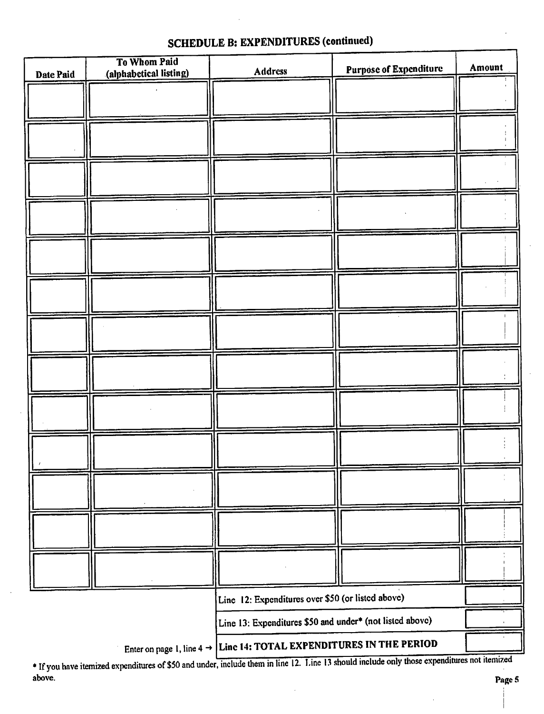| Date Paid | To Whom Paid<br>(alphabetical listing) | <b>Address</b>                                                                  | <b>Purpose of Expenditure</b> | Amount |
|-----------|----------------------------------------|---------------------------------------------------------------------------------|-------------------------------|--------|
|           |                                        |                                                                                 |                               |        |
|           |                                        |                                                                                 |                               |        |
|           |                                        |                                                                                 |                               |        |
|           |                                        |                                                                                 |                               |        |
|           |                                        |                                                                                 |                               |        |
|           |                                        |                                                                                 |                               |        |
|           |                                        |                                                                                 |                               |        |
|           |                                        |                                                                                 |                               |        |
|           |                                        |                                                                                 |                               |        |
|           |                                        |                                                                                 |                               |        |
|           |                                        |                                                                                 |                               |        |
|           |                                        |                                                                                 |                               |        |
|           |                                        |                                                                                 |                               |        |
|           |                                        |                                                                                 |                               |        |
|           |                                        |                                                                                 |                               |        |
|           |                                        |                                                                                 |                               |        |
|           |                                        |                                                                                 |                               |        |
|           |                                        |                                                                                 |                               |        |
|           |                                        |                                                                                 |                               |        |
|           |                                        |                                                                                 |                               |        |
|           |                                        | Line 12: Expenditures over \$50 (or listed above)                               |                               |        |
|           |                                        | Line 13: Expenditures \$50 and under* (not listed above)                        |                               |        |
|           |                                        | Enter on page 1, line $4 \rightarrow$ Line 14: TOTAL EXPENDITURES IN THE PERIOD |                               |        |

# SCHEDULE B: EXPENDITURES (continued)

If you have itemized expenditures of  $$50$  and under, include them in line 12. This 13 should include only those expenditures of  $$50$ above. The contract of the contract of the contract of the contract of the contract of the contract of the contract of the contract of the contract of the contract of the contract of the contract of the contract of the con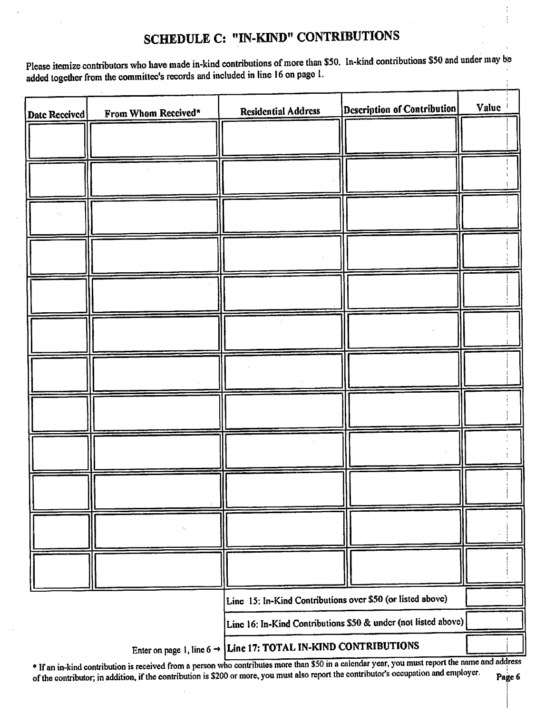# SCHEDULE C: " IN-KIND" CONTRIBUTIONS

Please itemize contributors who have made in-kind contributions of more than \$50. In-kind contributions \$50 and under may be added together from the committee's records and included in line 16 on page 1.  $\frac{1}{4}$ 

| Date Received | From Whom Received* | <b>Residential Address</b>                                                 | Description of Contribution                                    | Value |
|---------------|---------------------|----------------------------------------------------------------------------|----------------------------------------------------------------|-------|
|               |                     |                                                                            |                                                                |       |
|               |                     |                                                                            |                                                                |       |
|               |                     |                                                                            |                                                                |       |
|               |                     |                                                                            |                                                                |       |
|               |                     |                                                                            |                                                                |       |
|               |                     |                                                                            |                                                                |       |
|               |                     |                                                                            |                                                                |       |
|               |                     |                                                                            |                                                                |       |
|               |                     |                                                                            |                                                                |       |
|               |                     |                                                                            |                                                                |       |
|               |                     |                                                                            |                                                                |       |
|               |                     |                                                                            |                                                                |       |
|               |                     |                                                                            |                                                                |       |
|               |                     |                                                                            |                                                                |       |
|               |                     |                                                                            |                                                                |       |
|               |                     |                                                                            |                                                                |       |
|               |                     |                                                                            |                                                                |       |
|               |                     |                                                                            |                                                                |       |
|               |                     | Line 15: In-Kind Contributions over \$50 (or listed above)                 |                                                                |       |
|               |                     |                                                                            | Line 16: In-Kind Contributions \$50 & under (not listed above) |       |
|               |                     | Enter on page 1, line $6 \rightarrow$ Line 17: TOTAL IN-KIND CONTRIBUTIONS |                                                                |       |

If an in-kind contribution is received from a person who contributes more than \$50 in a calendar year, you must report the name and address of the contributor, in addition, if the contribution is \$200 or more, you must also report the contributor's occupation and employer. Page 6